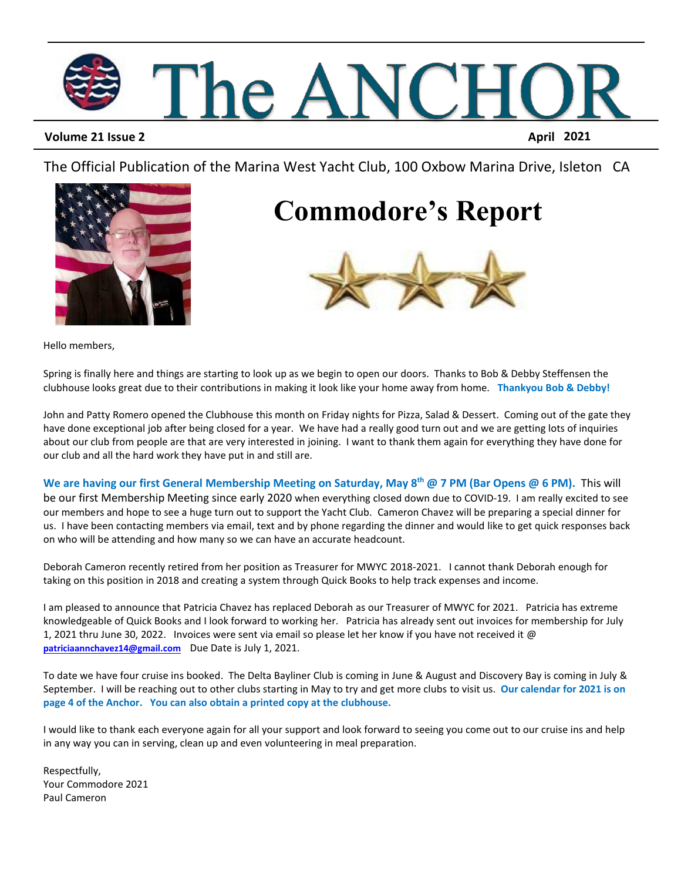

### **Volume 21 Issue 2 April 2021**

The Official Publication of the Marina West Yacht Club, 100 Oxbow Marina Drive, Isleton CA



### **Commodore's Report**



Hello members,

Spring is finally here and things are starting to look up as we begin to open our doors. Thanks to Bob & Debby Steffensen the clubhouse looks great due to their contributions in making it look like your home away from home. **Thankyou Bob & Debby!**

John and Patty Romero opened the Clubhouse this month on Friday nights for Pizza, Salad & Dessert. Coming out of the gate they have done exceptional job after being closed for a year. We have had a really good turn out and we are getting lots of inquiries about our club from people are that are very interested in joining. I want to thank them again for everything they have done for our club and all the hard work they have put in and still are.

**We are having our first General Membership Meeting on Saturday, May 8 th @ 7 PM (Bar Opens @ 6 PM).** This will be our first Membership Meeting since early 2020 when everything closed down due to COVID-19. I am really excited to see our members and hope to see a huge turn out to support the Yacht Club. Cameron Chavez will be preparing a special dinner for us. I have been contacting members via email, text and by phone regarding the dinner and would like to get quick responses back on who will be attending and how many so we can have an accurate headcount.

Deborah Cameron recently retired from her position as Treasurer for MWYC 2018-2021. I cannot thank Deborah enough for taking on this position in 2018 and creating a system through Quick Books to help track expenses and income.

I am pleased to announce that Patricia Chavez has replaced Deborah as our Treasurer of MWYC for 2021. Patricia has extreme knowledgeable of Quick Books and I look forward to working her. Patricia has already sent out invoices for membership for July 1, 2021 thru June 30, 2022. Invoices were sent via email so please let her know if you have not received it @ **[patriciaannchavez14@gmail.com](mailto:patriciaannchavez14@gmail.com)** Due Date is July 1, 2021.

To date we have four cruise ins booked. The Delta Bayliner Club is coming in June & August and Discovery Bay is coming in July & September. I will be reaching out to other clubs starting in May to try and get more clubs to visit us. **Our calendar for 2021 is on page 4 of the Anchor. You can also obtain a printed copy at the clubhouse.**

I would like to thank each everyone again for all your support and look forward to seeing you come out to our cruise ins and help in any way you can in serving, clean up and even volunteering in meal preparation.

Respectfully, Your Commodore 2021 Paul Cameron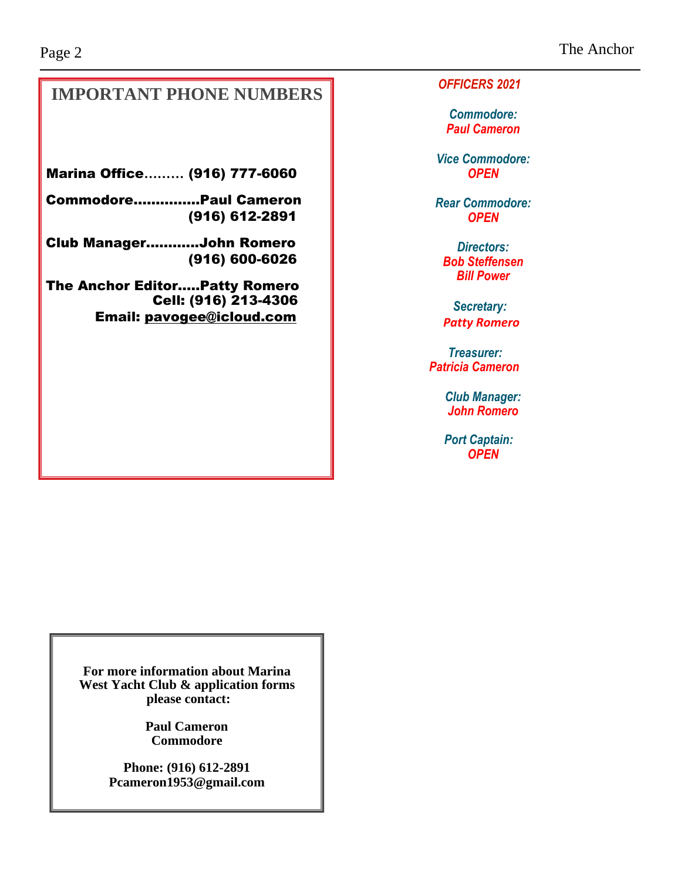### **IMPORTANT PHONE NUMBERS**

Marina Office**………** (916) 777-6060

Commodore…...……...Paul Cameron (916) 612-2891

Club Manager..……....John Romero (916) 600-6026

The Anchor Editor…..Patty Romero Cell: (916) 213-4306 Email: [pavogee@icloud.com](mailto:pavogee@icloud.com)

*OFFICERS 2021*

*Commodore: Paul Cameron*

*Vice Commodore: OPEN*

*Rear Commodore: OPEN*

*Directors: Bob Steffensen Bill Power*

*Secretary: Patty Romero*

*Treasurer: Patricia Cameron*

> *Club Manager: John Romero*

 *Port Captain: OPEN*

**For more information about Marina West Yacht Club & application forms please contact:**

> **Paul Cameron Commodore**

**Phone: (916) 612-2891 Pcameron1953@gmail.com**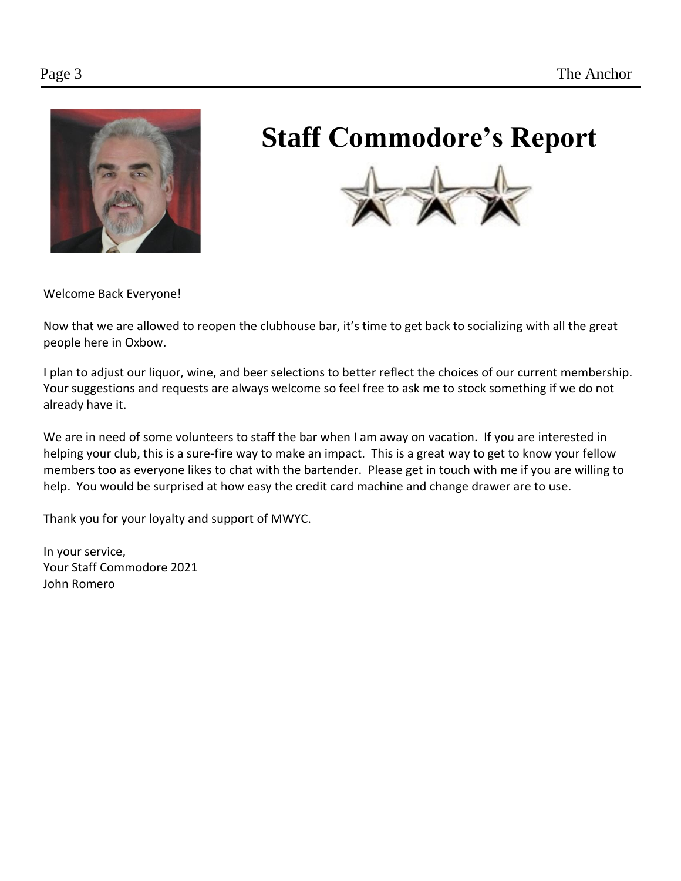

# **Staff Commodore's Report**



Welcome Back Everyone!

Now that we are allowed to reopen the clubhouse bar, it's time to get back to socializing with all the great people here in Oxbow.

I plan to adjust our liquor, wine, and beer selections to better reflect the choices of our current membership. Your suggestions and requests are always welcome so feel free to ask me to stock something if we do not already have it.

We are in need of some volunteers to staff the bar when I am away on vacation. If you are interested in helping your club, this is a sure-fire way to make an impact. This is a great way to get to know your fellow members too as everyone likes to chat with the bartender. Please get in touch with me if you are willing to help. You would be surprised at how easy the credit card machine and change drawer are to use.

Thank you for your loyalty and support of MWYC.

In your service, Your Staff Commodore 2021 John Romero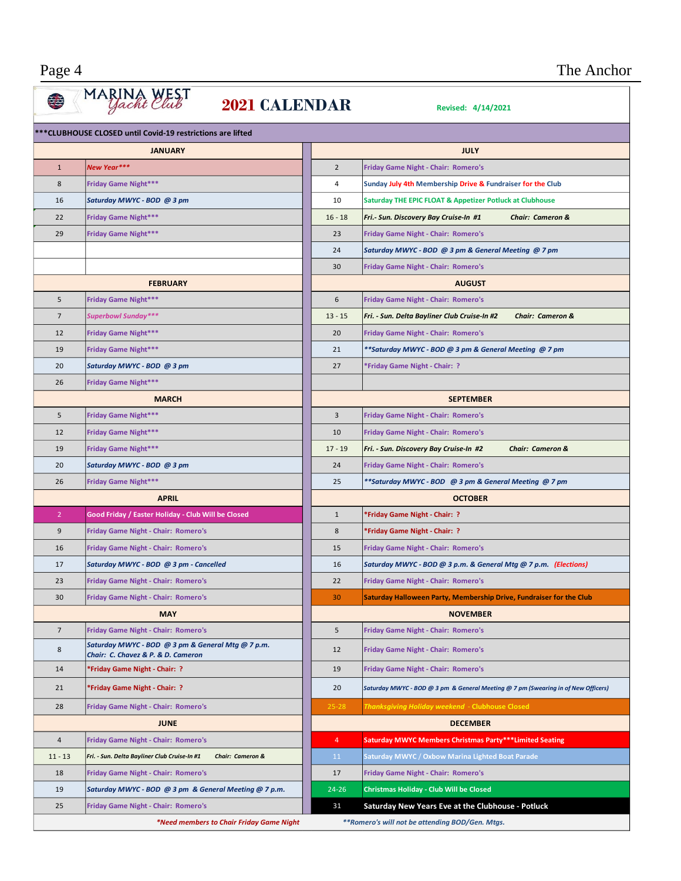#### *New Year\*\*\** 2 **Friday Game Night - Chair: Romero's Friday Game Night\*\*\*** 4 **Sunday July 4th Membership Drive & Fundraiser for the Club Saturday MWYC - BOD @ 3 pm** 10 **Saturday THE EPIC FLOAT & Appetizer Potluck at Clubhouse Friday Game Night\*\*\*** 16 - 18 *Fri.- Sun. Discovery Bay Cruise-In #1 Chair: Cameron &*  **Friday Game Night\*\*\*** 23 **Friday Game Night - Chair: Romero's** *Saturday MWYC - BOD @ 3 pm & General Meeting @ 7 pm* **Friday Game Night - Chair: Romero's Friday Game Night\*\*\*** 6 **Friday Game Night - Chair: Romero's** *Superbowl Sunday\*\*\** 13 - 15 *Fri. - Sun. Delta Bayliner Club Cruise-In #2 Chair: Cameron &*  **Friday Game Night\*\*\*** 20 **Friday Game Night - Chair: Romero's Friday Game Night\*\*\*** 21 *\*\*Saturday MWYC - BOD @ 3 pm & General Meeting @ 7 pm Saturday MWYC - BOD @ 3 pm* 27 **\*Friday Game Night - Chair: ? Friday Game Night\*\*\* Friday Game Night\*\*\*** 3 **Friday Game Night - Chair: Romero's Friday Game Night\*\*\*** 10 **Friday Game Night - Chair: Romero's Friday Game Night\*\*\*** 17 - 19 *Fri. - Sun. Discovery Bay Cruise-In #2 Chair: Cameron & Saturday MWYC - BOD @ 3 pm* 24 **Friday Game Night - Chair: Romero's Friday Game Night\*\*\*** 25 *\*\*Saturday MWYC - BOD @ 3 pm & General Meeting @ 7 pm* **Good Friday / Easter Holiday - Club Will be Closed** 1 **\*Friday Game Night - Chair: ? Friday Game Night - Chair: Romero's** 8 **\*Friday Game Night - Chair: ? Friday Game Night - Chair: Romero's** 15 **Friday Game Night - Chair: Romero's** *Saturday MWYC - BOD @ 3 pm - Cancelled* 16 *Saturday MWYC - BOD @ 3 p.m. & General Mtg @ 7 p.m. (Elections)* **Friday Game Night - Chair: Romero's** 22 **Friday Game Night - Chair: Romero's Friday Game Night - Chair: Romero's** 30 **Saturday Halloween Party, Membership Drive, Fundraiser for the Club Friday Game Night - Chair: Romero's** 5 **Friday Game Night - Chair: Romero's** *Saturday MWYC - BOD @ 3 pm & General Mtg @ 7 p.m. Chair: C. Chavez & P. & D. Cameron* <sup>12</sup> **Friday Game Night - Chair: Romero's \*Friday Game Night - Chair: ?** 19 **Friday Game Night - Chair: Romero's \*Friday Game Night - Chair: ?** 20 *Saturday MWYC - BOD @ 3 pm & General Meeting @ 7 pm (Swearing in of New Officers)*  **Friday Game Night - Chair: Romero's** 25-28 *Thanksgiving Holiday weekend* - **Clubhouse Closed Friday Game Night - Chair: Romero's** 4 **Saturday MWYC Members Christmas Party\*\*\*Limited Seating** 11 - 13 *Fri. - Sun. Delta Bayliner Club Cruise-In #1 Chair: Cameron &* 11 **Saturday MWYC** / **Oxbow Marina Lighted Boat Parade Friday Game Night - Chair: Romero's** 17 **Friday Game Night - Chair: Romero's** *Saturday MWYC - BOD @ 3 pm & General Meeting @ 7 p.m.* 24-26 **Christmas Holiday - Club Will be Closed Friday Game Night - Chair: Romero's** <sup>31</sup> **Saturday New Years Eve at the Clubhouse - Potluck** *\*Need members to Chair Friday Game Night \*\*Romero's will not be attending BOD/Gen. Mtgs.*  **2021 CALENDAR** *Revised: 4/14/2021 Revised: 4/14/2021* **\*\*\*CLUBHOUSE CLOSED until Covid-19 restrictions are lifted JANUARY FEBRUARY MARCH APRIL MAY JUNE JULY AUGUST SEPTEMBER OCTOBER NOVEMBER DECEMBER**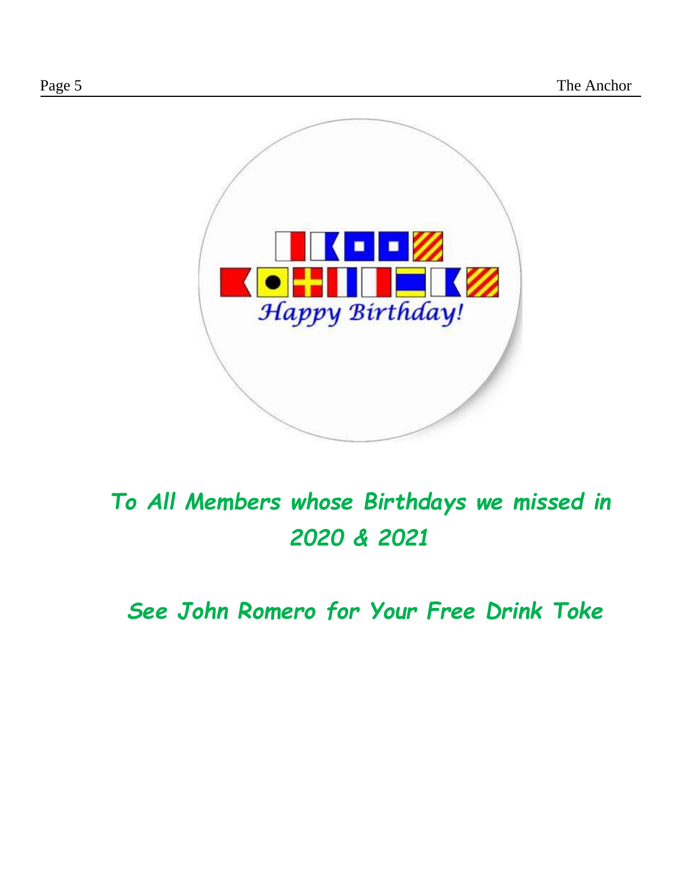

## *To All Members whose Birthdays we missed in 2020 & 2021*

*See John Romero for Your Free Drink Toke*